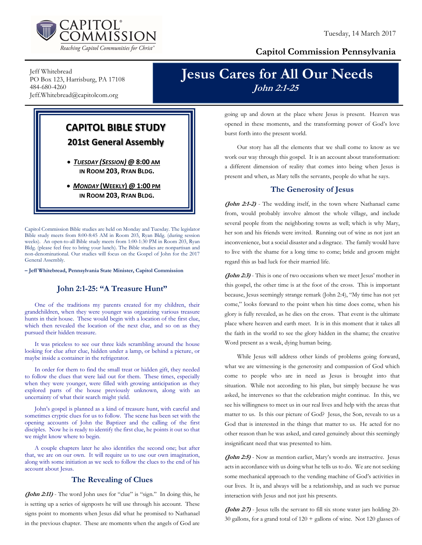

### Capitol Commission Pennsylvania

Jeff Whitebread PO Box 123, Harrisburg, PA 17108 484-680-4260 Jeff.Whitebread@capitolcom.org

## Jesus Cares for All Our Needs John 2:1-25

### CAPITOL BIBLE STUDY 201st General Assembly

 TUESDAY (SESSION) @ 8:00 AM IN ROOM 203, RYAN BLDG.

• MONDAY (WEEKLY) @ 1:00 PM IN ROOM 203, RYAN BLDG.

Capitol Commission Bible studies are held on Monday and Tuesday. The legislator Bible study meets from 8:00-8:45 AM in Room 203, Ryan Bldg. (during session weeks). An open-to-all Bible study meets from 1:00-1:30 PM in Room 203, Ryan Bldg. (please feel free to bring your lunch). The Bible studies are nonpartisan and non-denominational. Our studies will focus on the Gospel of John for the 2017 General Assembly.

– Jeff Whitebread, Pennsylvania State Minister, Capitol Commission

#### John 2:1-25: "A Treasure Hunt"

One of the traditions my parents created for my children, their grandchildren, when they were younger was organizing various treasure hunts in their house. These would begin with a location of the first clue, which then revealed the location of the next clue, and so on as they pursued their hidden treasure.

It was priceless to see our three kids scrambling around the house looking for clue after clue, hidden under a lamp, or behind a picture, or maybe inside a container in the refrigerator.

In order for them to find the small treat or hidden gift, they needed to follow the clues that were laid out for them. These times, especially when they were younger, were filled with growing anticipation as they explored parts of the house previously unknown, along with an uncertainty of what their search might yield.

John's gospel is planned as a kind of treasure hunt, with careful and sometimes cryptic clues for us to follow. The scene has been set with the opening accounts of John the Baptizer and the calling of the first disciples. Now he is ready to identify the first clue, he points it out so that we might know where to begin.

A couple chapters later he also identifies the second one; but after that, we are on our own. It will require us to use our own imagination, along with some initiation as we seek to follow the clues to the end of his account about Jesus.

#### The Revealing of Clues

(John 2:11) - The word John uses for "clue" is "sign." In doing this, he is setting up a series of signposts he will use through his account. These signs point to moments when Jesus did what he promised to Nathanael in the previous chapter. These are moments when the angels of God are going up and down at the place where Jesus is present. Heaven was opened in these moments, and the transforming power of God's love burst forth into the present world.

Our story has all the elements that we shall come to know as we work our way through this gospel. It is an account about transformation: a different dimension of reality that comes into being when Jesus is present and when, as Mary tells the servants, people do what he says.

#### The Generosity of Jesus

(John 2:1-2) - The wedding itself, in the town where Nathanael came from, would probably involve almost the whole village, and include several people from the neighboring towns as well; which is why Mary, her son and his friends were invited. Running out of wine as not just an inconvenience, but a social disaster and a disgrace. The family would have to live with the shame for a long time to come; bride and groom might regard this as bad luck for their married life.

(John 2:3) - This is one of two occasions when we meet Jesus' mother in this gospel, the other time is at the foot of the cross. This is important because, Jesus seemingly strange remark (John 2:4), "My time has not yet come," looks forward to the point when his time does come, when his glory is fully revealed, as he dies on the cross. That event is the ultimate place where heaven and earth meet. It is in this moment that it takes all the faith in the world to see the glory hidden in the shame; the creative Word present as a weak, dying human being.

While Jesus will address other kinds of problems going forward, what we are witnessing is the generosity and compassion of God which come to people who are in need as Jesus is brought into that situation. While not according to his plan, but simply because he was asked, he intervenes so that the celebration might continue. In this, we see his willingness to meet us in our real lives and help with the areas that matter to us. Is this our picture of God? Jesus, the Son, reveals to us a God that is interested in the things that matter to us. He acted for no other reason than he was asked, and cared genuinely about this seemingly insignificant need that was presented to him.

(John 2:5) - Now as mention earlier, Mary's words are instructive. Jesus acts in accordance with us doing what he tells us to do. We are not seeking some mechanical approach to the vending machine of God's activities in our lives. It is, and always will be a relationship, and as such we pursue interaction with Jesus and not just his presents.

(John 2:7) - Jesus tells the servant to fill six stone water jars holding 20-30 gallons, for a grand total of  $120 +$  gallons of wine. Not 120 glasses of